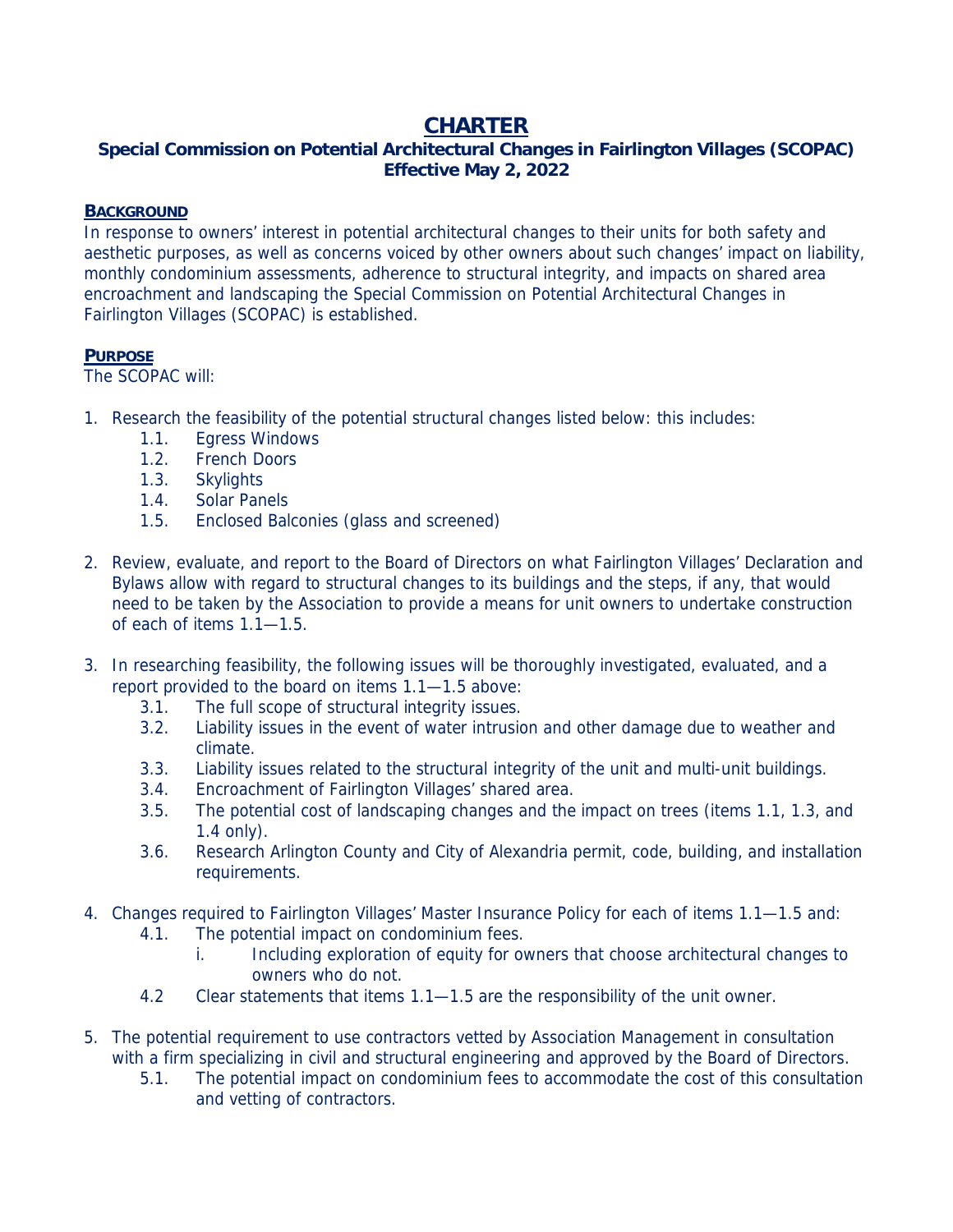# **CHARTER**

## **Special Commission on Potential Architectural Changes in Fairlington Villages (SCOPAC) Effective May 2, 2022**

### **BACKGROUND**

In response to owners' interest in potential architectural changes to their units for both safety and aesthetic purposes, as well as concerns voiced by other owners about such changes' impact on liability, monthly condominium assessments, adherence to structural integrity, and impacts on shared area encroachment and landscaping the Special Commission on Potential Architectural Changes in Fairlington Villages (SCOPAC) is established.

#### **PURPOSE**

The SCOPAC will:

- 1. Research the feasibility of the potential structural changes listed below: this includes:
	- 1.1. Egress Windows
	- 1.2. French Doors
	- 1.3. Skylights
	- 1.4. Solar Panels
	- 1.5. Enclosed Balconies (glass and screened)
- 2. Review, evaluate, and report to the Board of Directors on what Fairlington Villages' Declaration and Bylaws allow with regard to structural changes to its buildings and the steps, if any, that would need to be taken by the Association to provide a means for unit owners to undertake construction of each of items 1.1—1.5.
- 3. In researching feasibility, the following issues will be thoroughly investigated, evaluated, and a report provided to the board on items 1.1—1.5 above:
	- 3.1. The full scope of structural integrity issues.
	- 3.2. Liability issues in the event of water intrusion and other damage due to weather and climate.
	- 3.3. Liability issues related to the structural integrity of the unit and multi-unit buildings.
	- 3.4. Encroachment of Fairlington Villages' shared area.
	- 3.5. The potential cost of landscaping changes and the impact on trees (items 1.1, 1.3, and 1.4 only).
	- 3.6. Research Arlington County and City of Alexandria permit, code, building, and installation requirements.
- 4. Changes required to Fairlington Villages' Master Insurance Policy for each of items 1.1—1.5 and:
	- 4.1. The potential impact on condominium fees.
		- i. Including exploration of equity for owners that choose architectural changes to owners who do not.
	- 4.2 Clear statements that items 1.1—1.5 are the responsibility of the unit owner.
- 5. The potential requirement to use contractors vetted by Association Management in consultation with a firm specializing in civil and structural engineering and approved by the Board of Directors.
	- 5.1. The potential impact on condominium fees to accommodate the cost of this consultation and vetting of contractors.